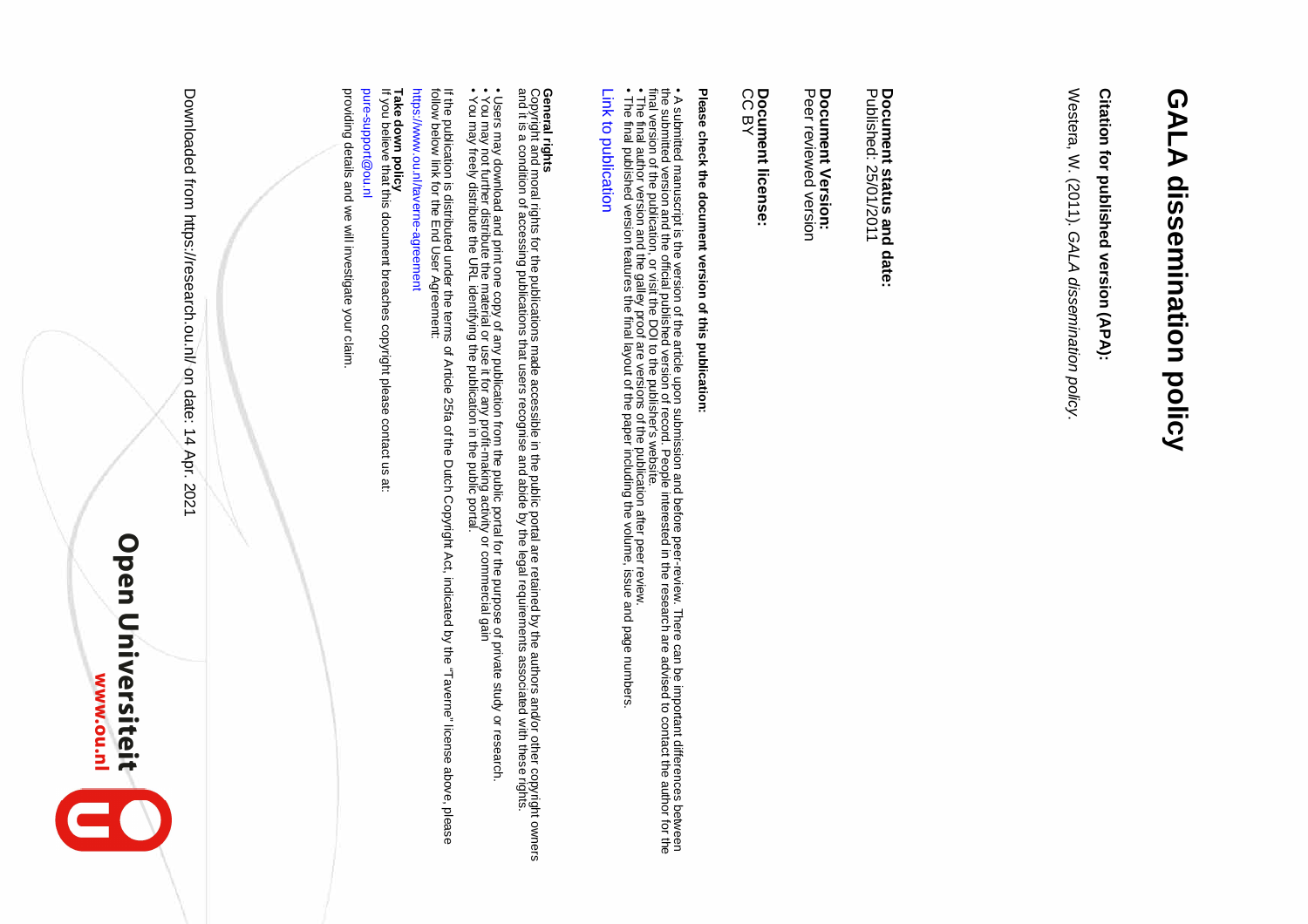# **GALA dissemination policy GALA dissemination policy**

## Citation for published version (APA): **Citation for published version (APA):**

Westera, W. (2011). GALA dissemination policy. Westera, W. (2011). GALA dissemination policy.

Document status and date:<br>Published: 25/01/2011 Published: 25/01/2011 **Document status and date:**

### **Document Version:<br>Peer reviewed version Document Version:**

Peer reviewed version

## **Document license:**

Document license:<br>CC BY

# Please check the document version of this publication: **Please check the document version of this publication:**

• A submitted manuscript is the version of the article upon submission and before peer-review. There can be important differences between<br>the submitted version and the official published version of record. People intereste final version of the publication, or visit the DOI to the publisher's website. the submitted version and the official published version of record. People interested in the research are advised to contact the author for the • A submitted manuscript is the version of the article upon submission and before peer-review. There can be important differences between

• The final author version and the galley proof are versions of the publication after peer review.

• The final published version features the final layout of the paper including the volume, issue and page numbers.

#### Link to publication [Link to publication](https://research.ou.nl/en/publications/ce2c78a6-7475-4cfc-9e29-1c3775659b5e)

### **General rights**

**General rights**<br>Copyright and moral rights for the publications made accessible in the public portal are retained by the authors and/or other copyright owners<br>and it is a condition of accessing publications that users rec and it is a condition of a consisted publications that users recognise and abide by the legal reduited interiments associated with these rights. Copyright and moral rights for the publications made accessible in the public portal are retained by the authors and/or other copyright owners

• Users may download and print one copy of any publication from the public portal for the purpose of private study or research<br>• You may not further distribute the material or use it for any profit-making activity or comme • Users may download and print one copy of any publication from the public portal for the purpose of private study or research.

 $\bullet$  You may not further distribute the material or use it for any profit-making activity or commencial gains or commentation activity or commentation activity or commentation and  $\bullet$ 

• You may freely distribute the URL identifying the publication in the public portal.

If the publication is distributed under the terms of Article 25fa of the Dutch Copyright Act, indicated by the "Taverne" license above, please<br>follow below link for the End User Agreement: follow below link for the End User Agreement: If the publication is distributed under the terms of Article 25fa of the Dutch Copyright Act, indicated by the "Taverne" license above, please

https://www.ou.nl/taverne-agreement

https://www.ou.nl/taverne-agreement

**Take down policy**

**Take down policy**<br>If you believe that this document breaches copyright please contact us at:

If you believe that this document breaches copyright please contact us at:

pure-support@ou.nl pure-support@ou.nl

providing details and we will investigate your claim providing details and we will investigate your claim.

Open Universiteit

**Open Universiteit** 

Downloaded from thtps://research.ou.nl/ on date: 14 Apr. 2021

Downloaded from https://research.ou.nl/ on date: 14 Apr. 2021

**www.ou.nl** 

2

**MWW.ou.nl**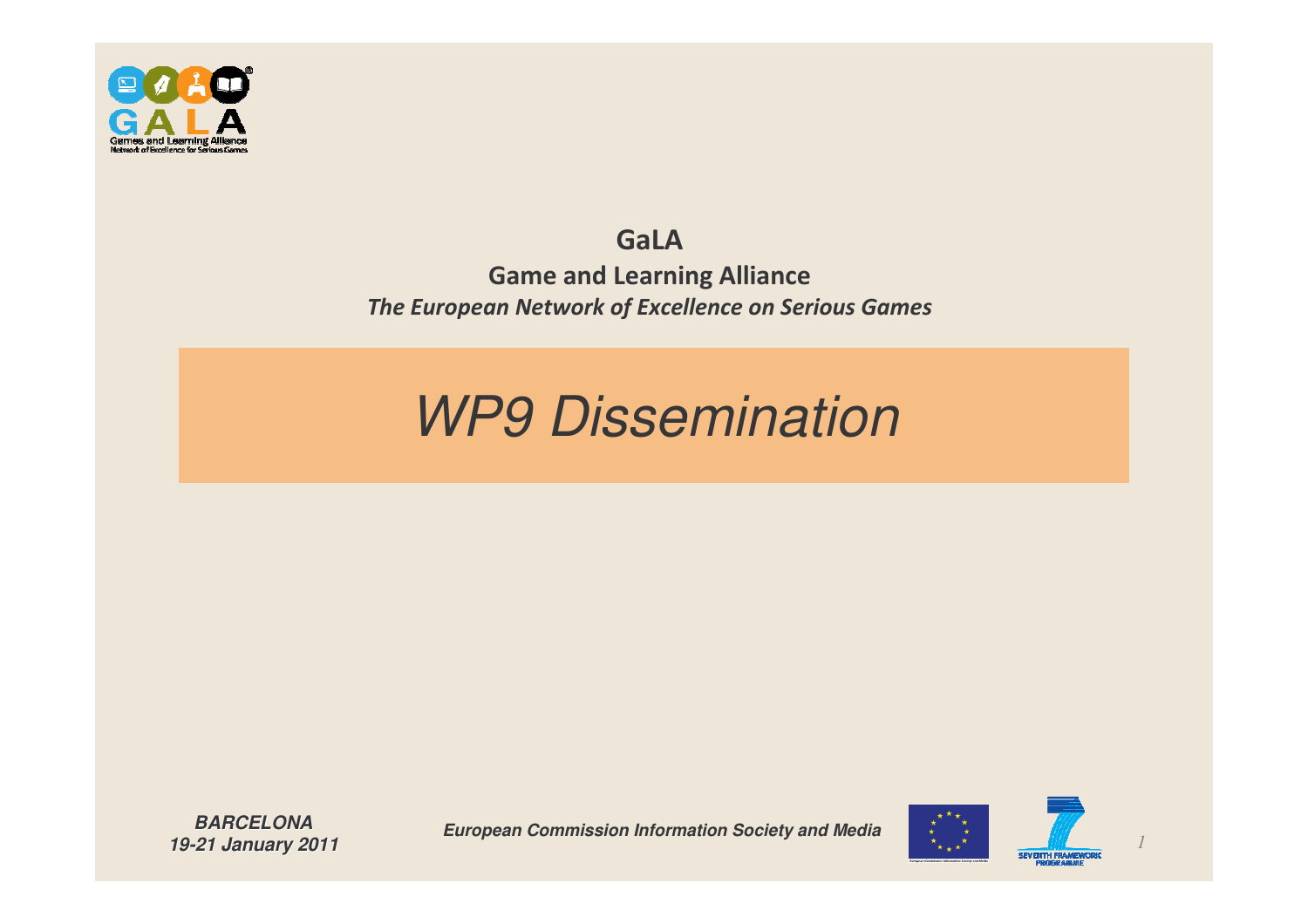

#### GaLA

**Game and Learning Alliance** The European Network of Excellence on Serious Games

#### *WP9 Dissemination*

*BARCELONA19-21 January 2011*

*European Commission Information Society and Media*



*1*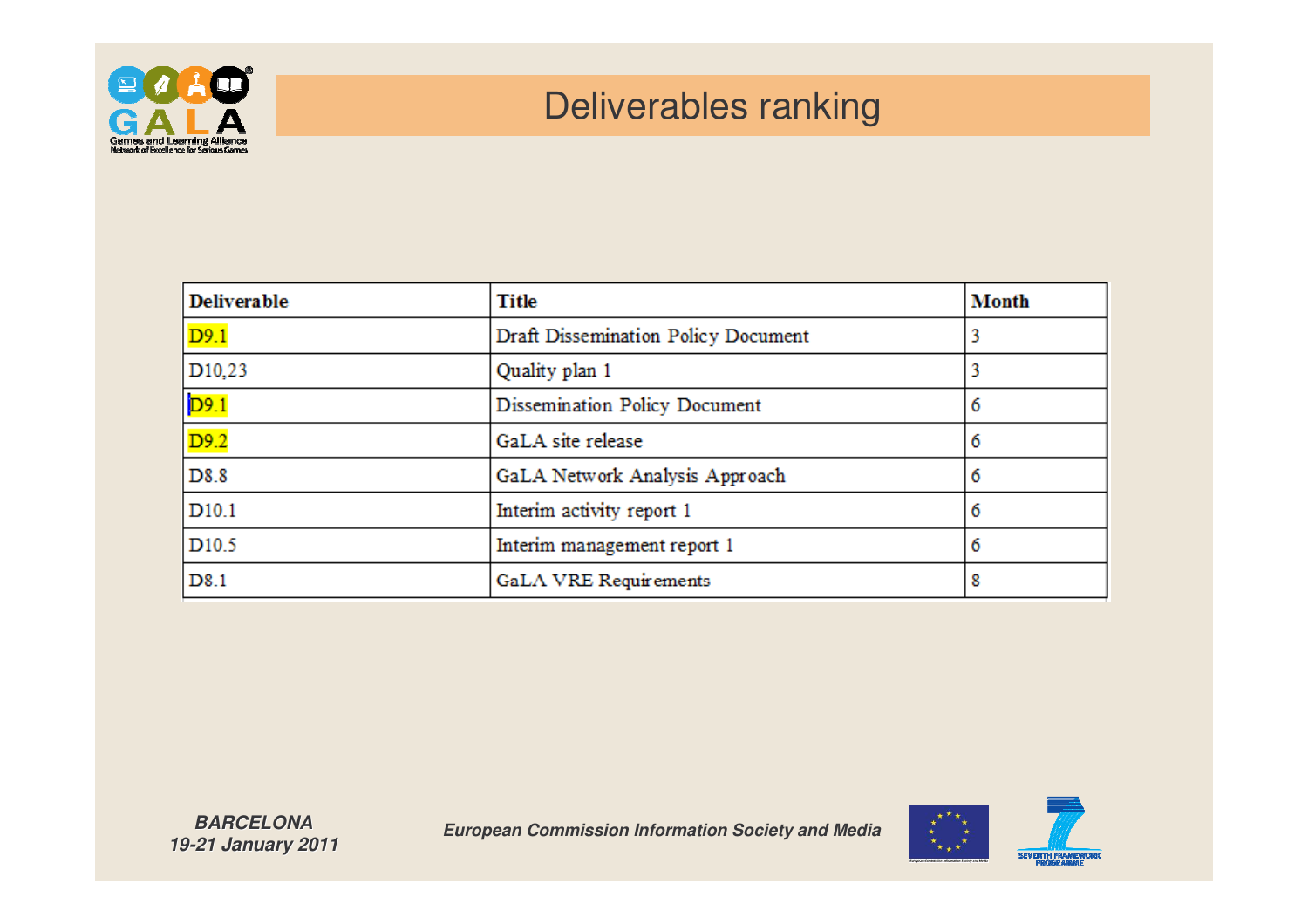

#### Deliverables ranking

| <b>Deliverable</b>  | <b>Title</b>                        | <b>Month</b> |
|---------------------|-------------------------------------|--------------|
| D9.1                | Draft Dissemination Policy Document |              |
| D <sub>10</sub> ,23 | Quality plan 1                      |              |
| D9.1                | Dissemination Policy Document       | 6            |
| D9.2                | GaLA site release                   | 6            |
| D8.8                | GaLA Network Analysis Approach      | 6            |
| D <sub>10.1</sub>   | Interim activity report 1           | 6            |
| D <sub>10.5</sub>   | Interim management report 1         | 6            |
| D <sub>8.1</sub>    | GaLA VRE Requirements               | 8            |



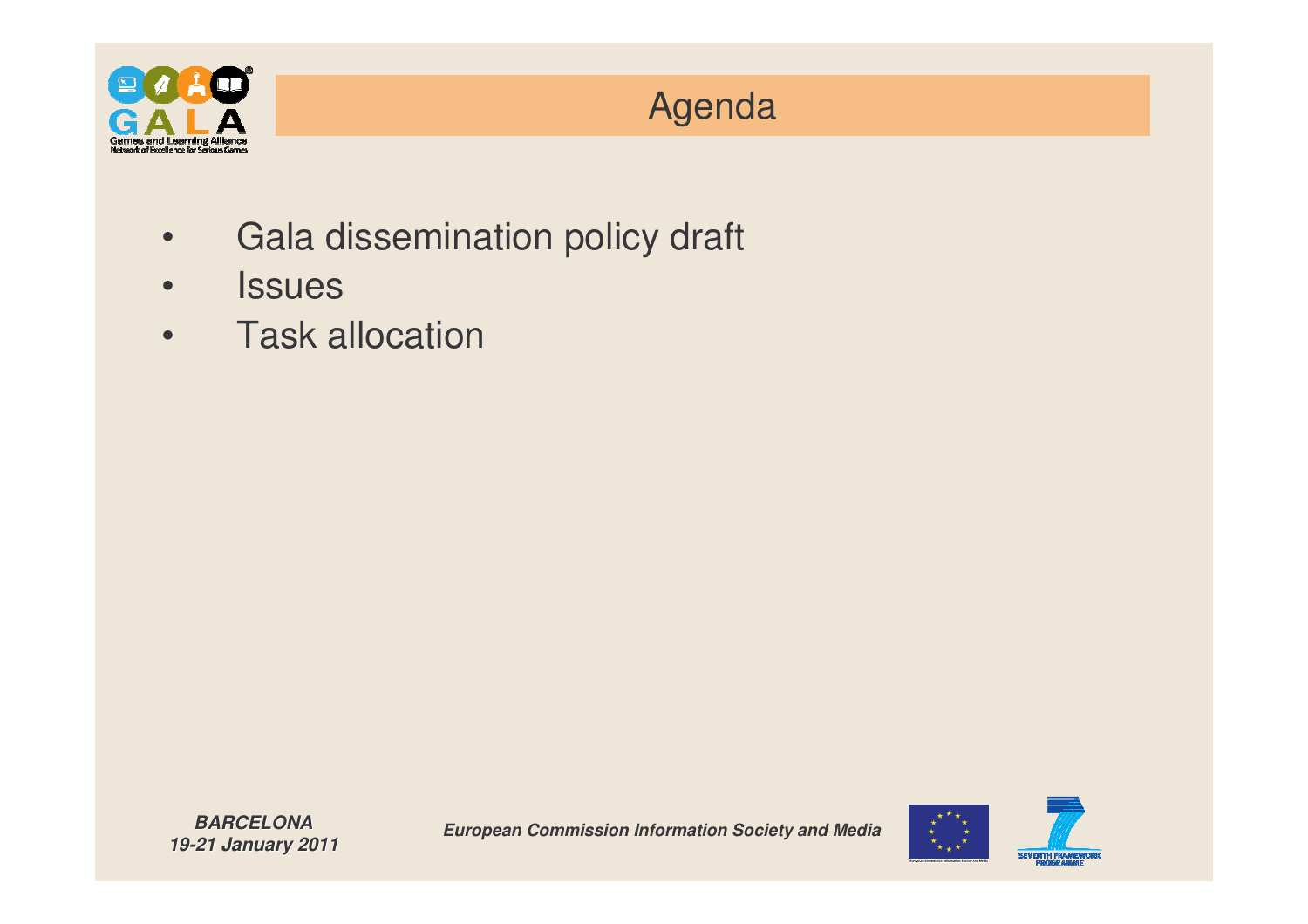

#### Agenda

- •Gala dissemination policy draft
- •**Issues**
- •**Task allocation**

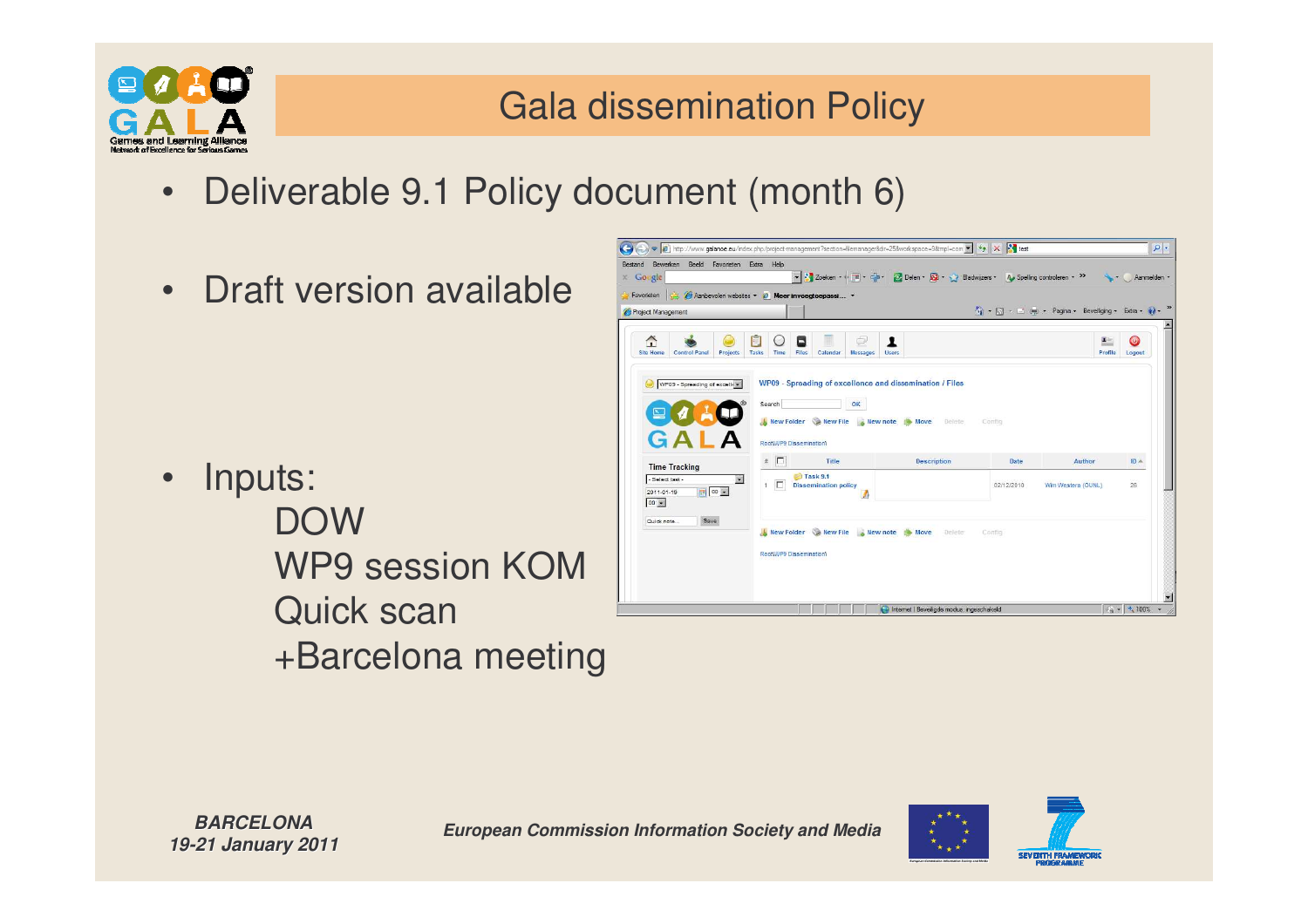

•

#### Gala dissemination Policy

- Deliverable 9.1 Policy document (month 6)
- Draft version available

 Inputs: DOWWP9 session KOMQuick scan +Barcelona meeting





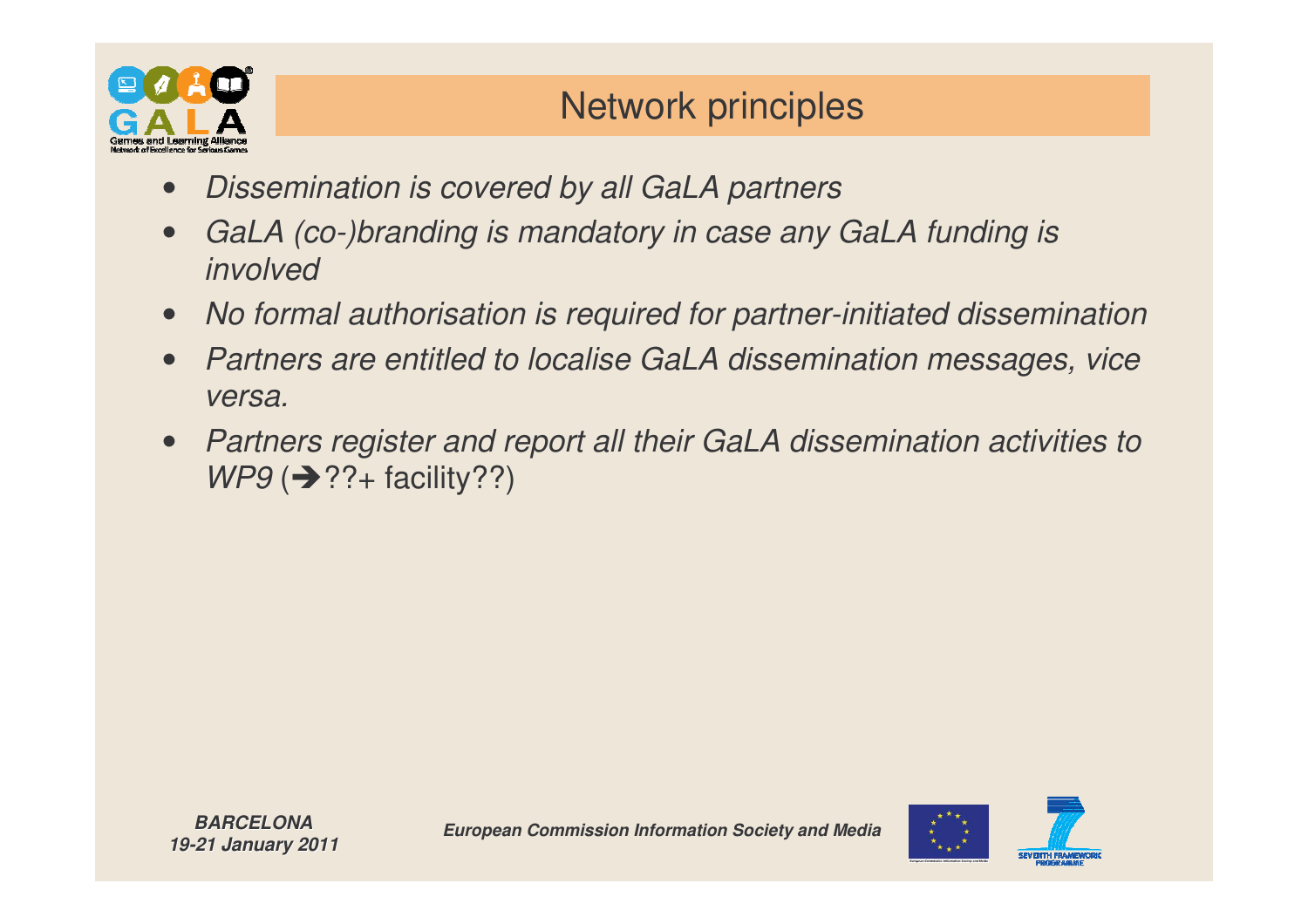

#### Network principles

- •*Dissemination is covered by all GaLA partners*
- • *GaLA (co-)branding is mandatory in case any GaLA funding is involved*
- •*No formal authorisation is required for partner-initiated dissemination*
- • *Partners are entitled to localise GaLA dissemination messages, vice versa.*
- • *Partners register and report all their GaLA dissemination activities to WP9* (→??+ facility??)

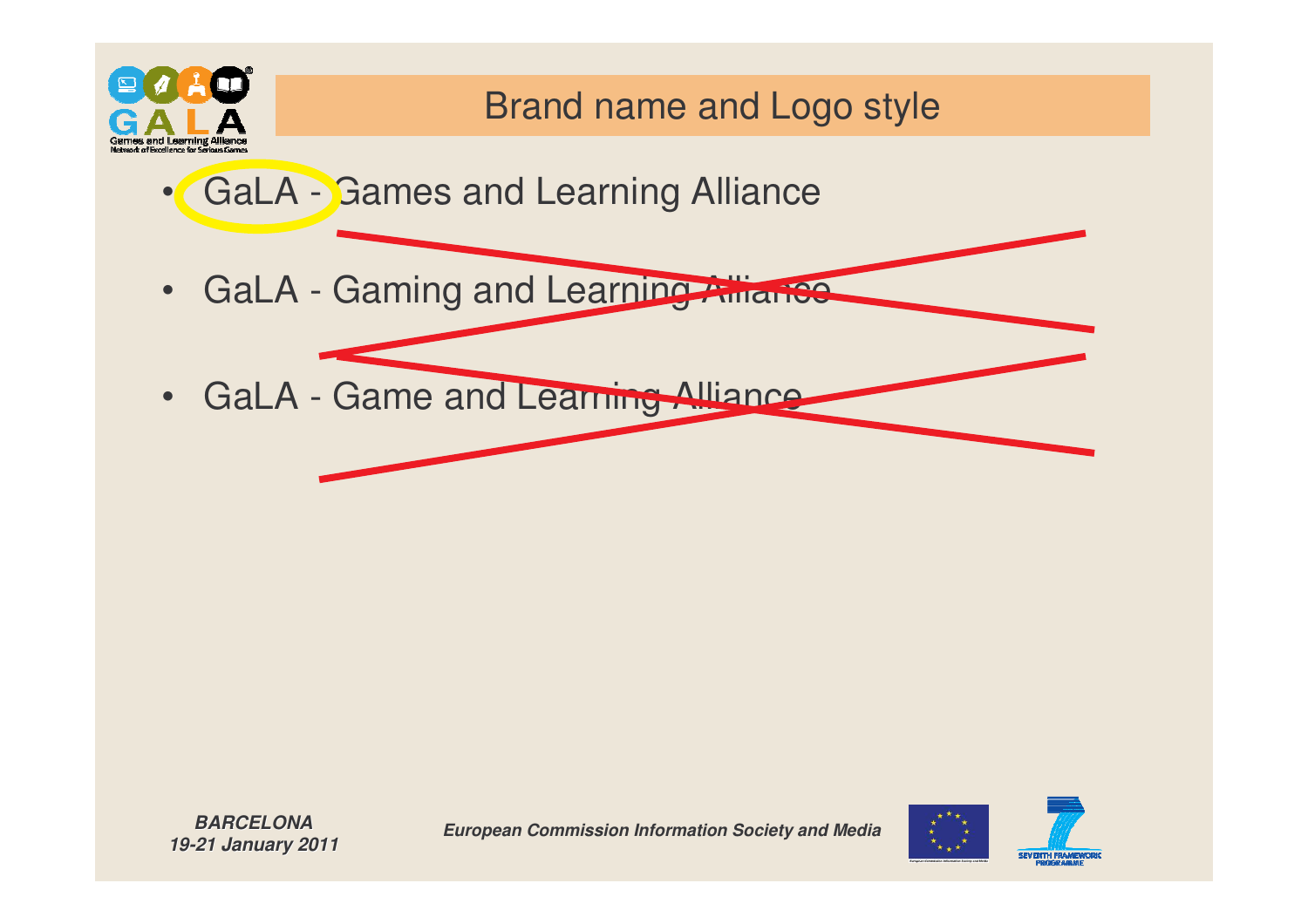

#### Brand name and Logo style

- •• GaLA - Games and Learning Alliance
- GaLA Gaming and Learning Alliance
- GaLA Game and Learning Alliance

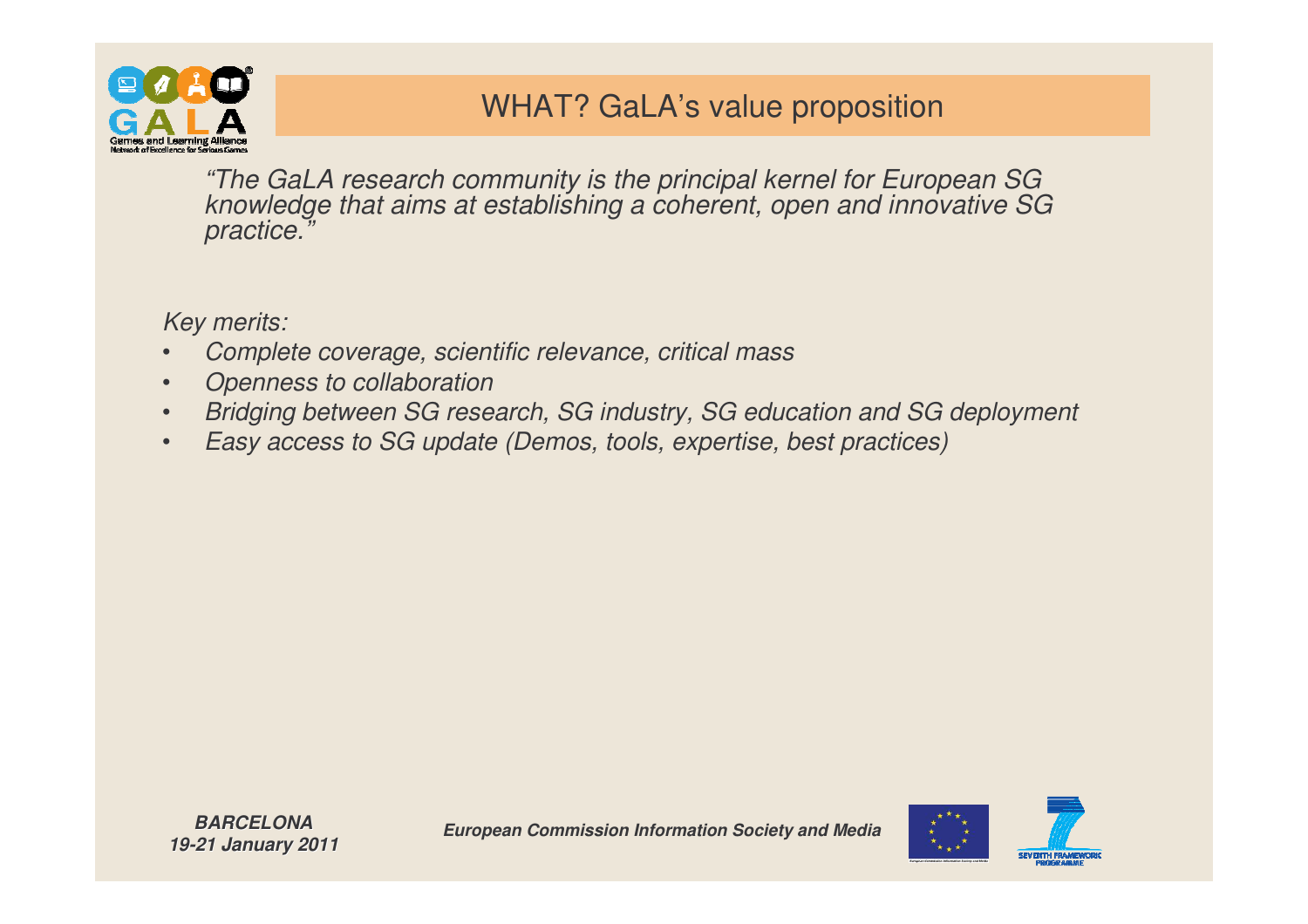

#### WHAT? GaLA's value proposition

*"The GaLA research community is the principal kernel for European SG knowledge that aims at establishing <sup>a</sup> coherent, open and innovative SG practice."*

*Key merits:*

- •*Complete coverage, scientific relevance, critical mass*
- •*Openness to collaboration*
- •*Bridging between SG research, SG industry, SG education and SG deployment*
- •*Easy access to SG update (Demos, tools, expertise, best practices)*

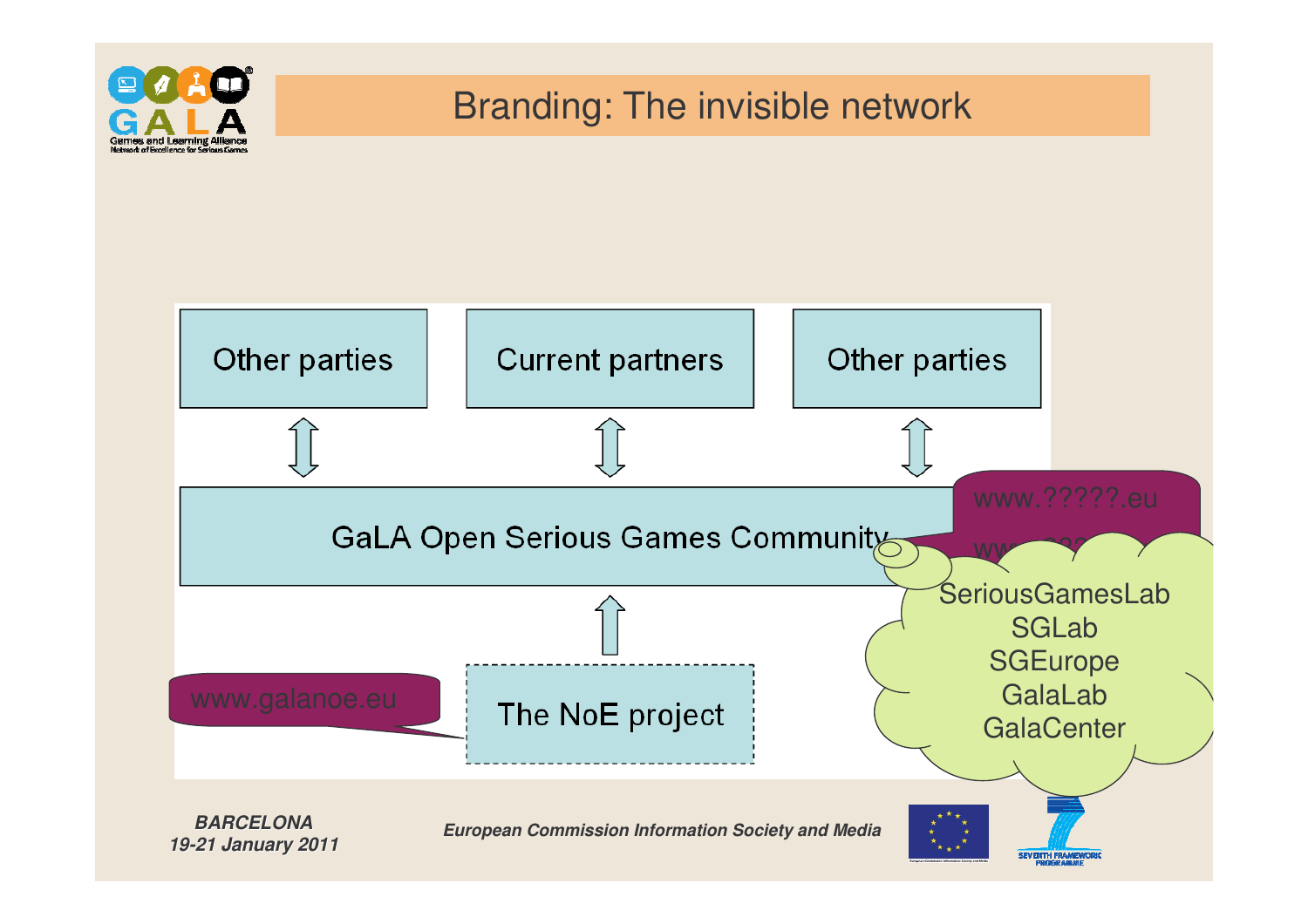

#### Branding: The invisible network

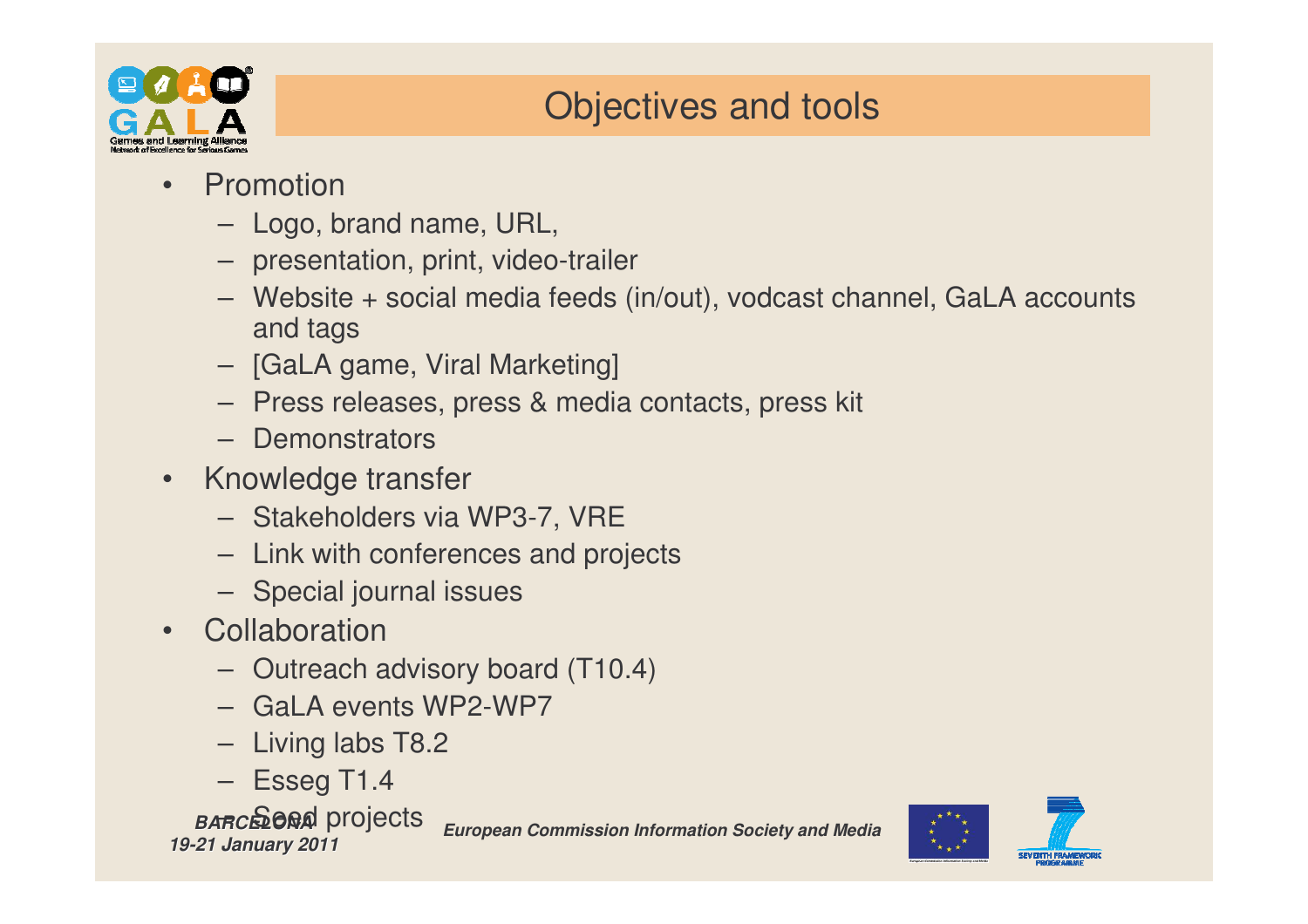

#### Objectives and tools

- • Promotion
	- Logo, brand name, URL,
	- presentation, print, video-trailer
	- Website <sup>+</sup> social media feeds (in/out), vodcast channel, GaLA accounts and tags
	- [GaLA game, Viral Marketing]
	- Press releases, press & media contacts, press kit
	- Demonstrators
- Knowledge transfer
	- Stakeholders via WP3-7, VRE
	- Link with conferences and projects
	- Special journal issues
- Collaboration
	- Outreach advisory board (T10.4)
	- GaLA events WP2-WP7
	- Living labs T8.2
	- Esseg T1.4

#### *BARCELONA* – Seed projects*19-21 January 2011*

*European Commission Information Society and Media*



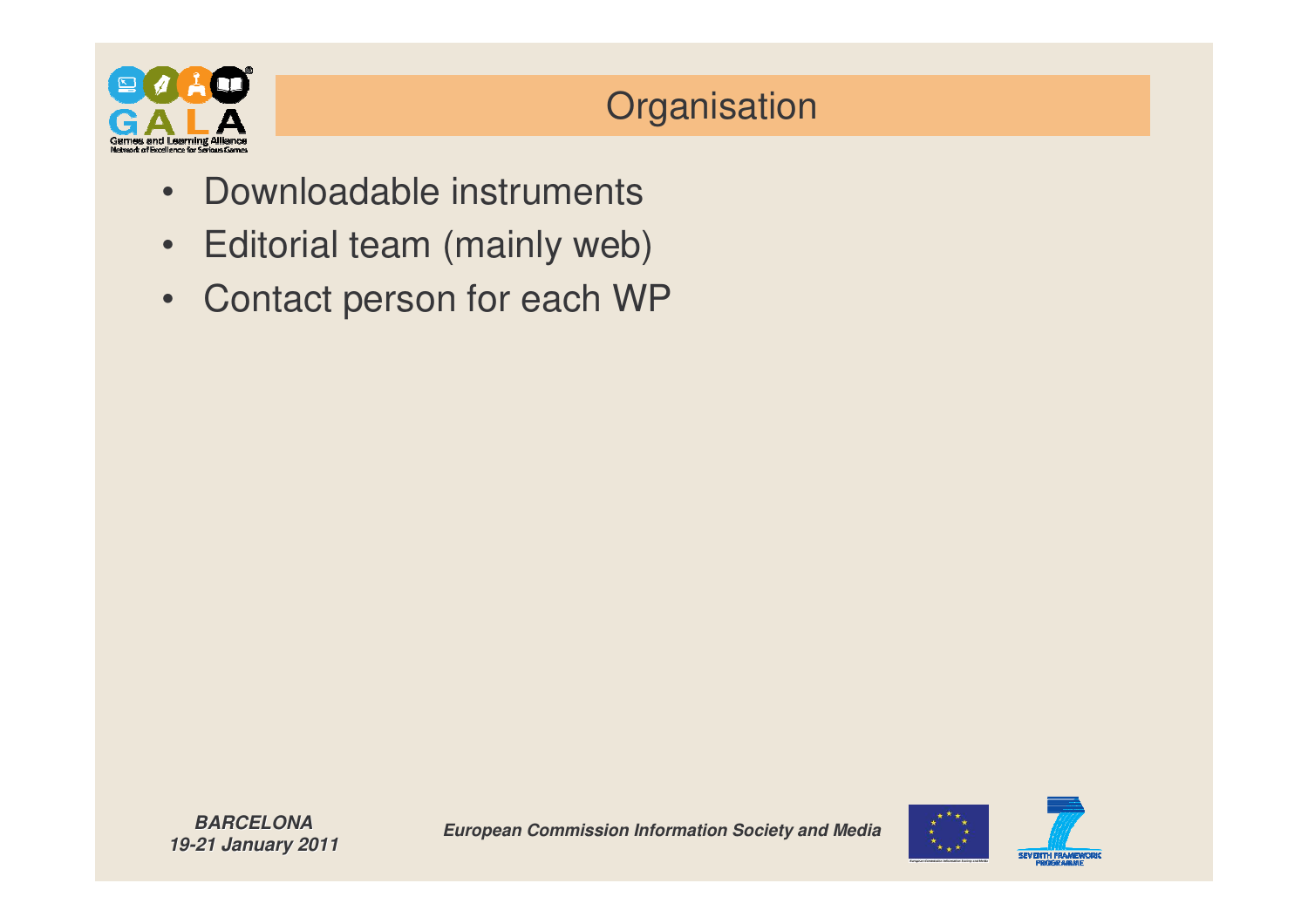

#### **Organisation**

- Downloadable instruments
- •• Editorial team (mainly web)
- •Contact person for each WP

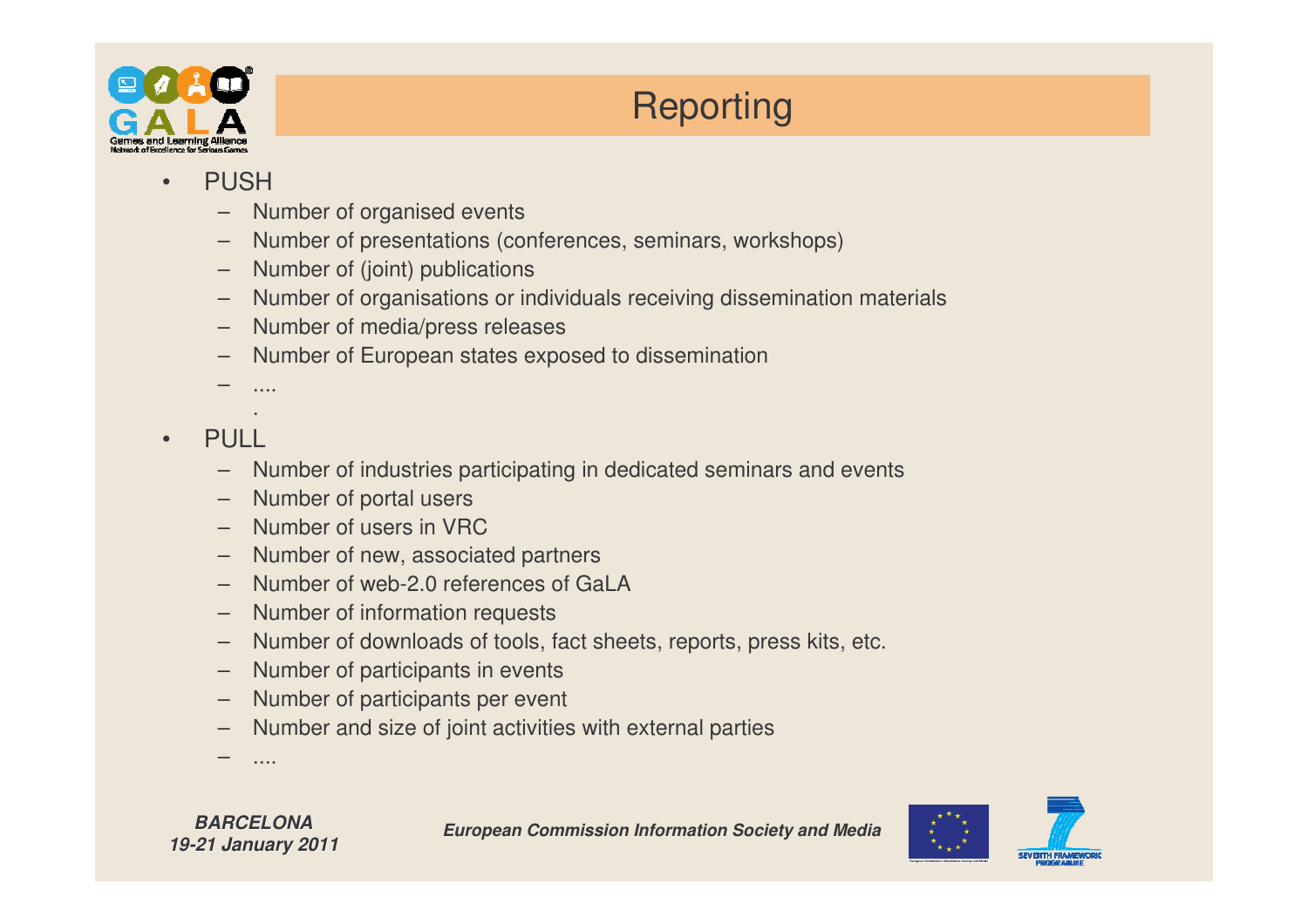

#### **Reporting**

- • PUSH
	- Number of organised events
	- –Number of presentations (conferences, seminars, workshops)
	- –Number of (joint) publications
	- –Number of organisations or individuals receiving dissemination materials
	- Number of media/press releases
	- –Number of European states exposed to dissemination
	- –....
- •PULL
	- –Number of industries participating in dedicated seminars and events
	- Number of portal users
	- Number of users in VRC
	- –Number of new, associated partners
	- Number of web-2.0 references of GaLA
	- Number of information requests
	- –Number of downloads of tools, fact sheets, reports, press kits, etc.
	- Number of participants in events
	- Number of participants per event
	- –Number and size of joint activities with external parties
	- –....



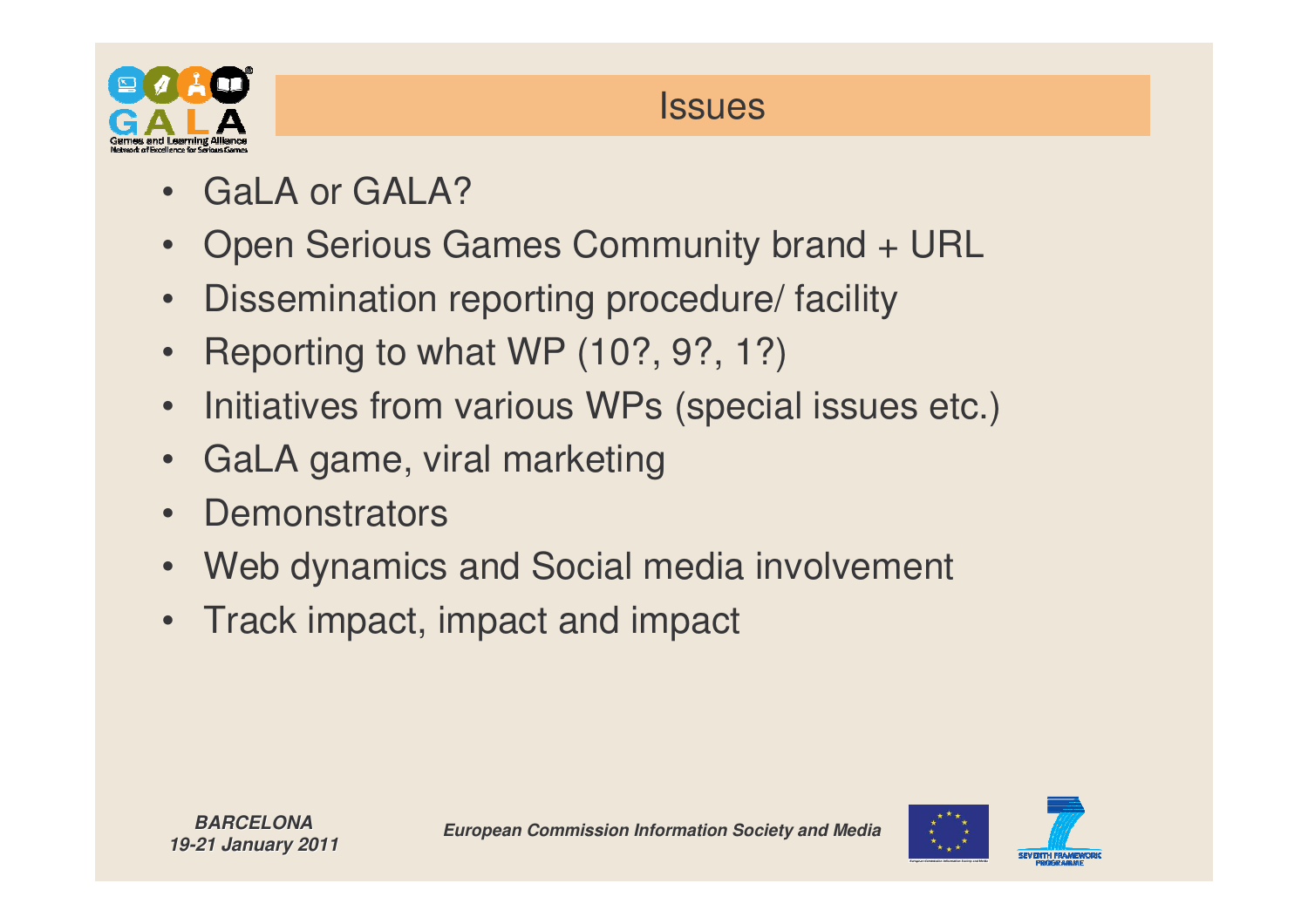

#### **Issues**

- GaLA or GALA?
- •Open Serious Games Community brand <sup>+</sup> URL
- •Dissemination reporting procedure/ facility
- Reporting to what WP (10?, 9?, 1?)
- •• Initiatives from various WPs (special issues etc.)
- $\bullet$ GaLA game, viral marketing
- •**Demonstrators**
- •Web dynamics and Social media involvement
- Track impact, impact and impact

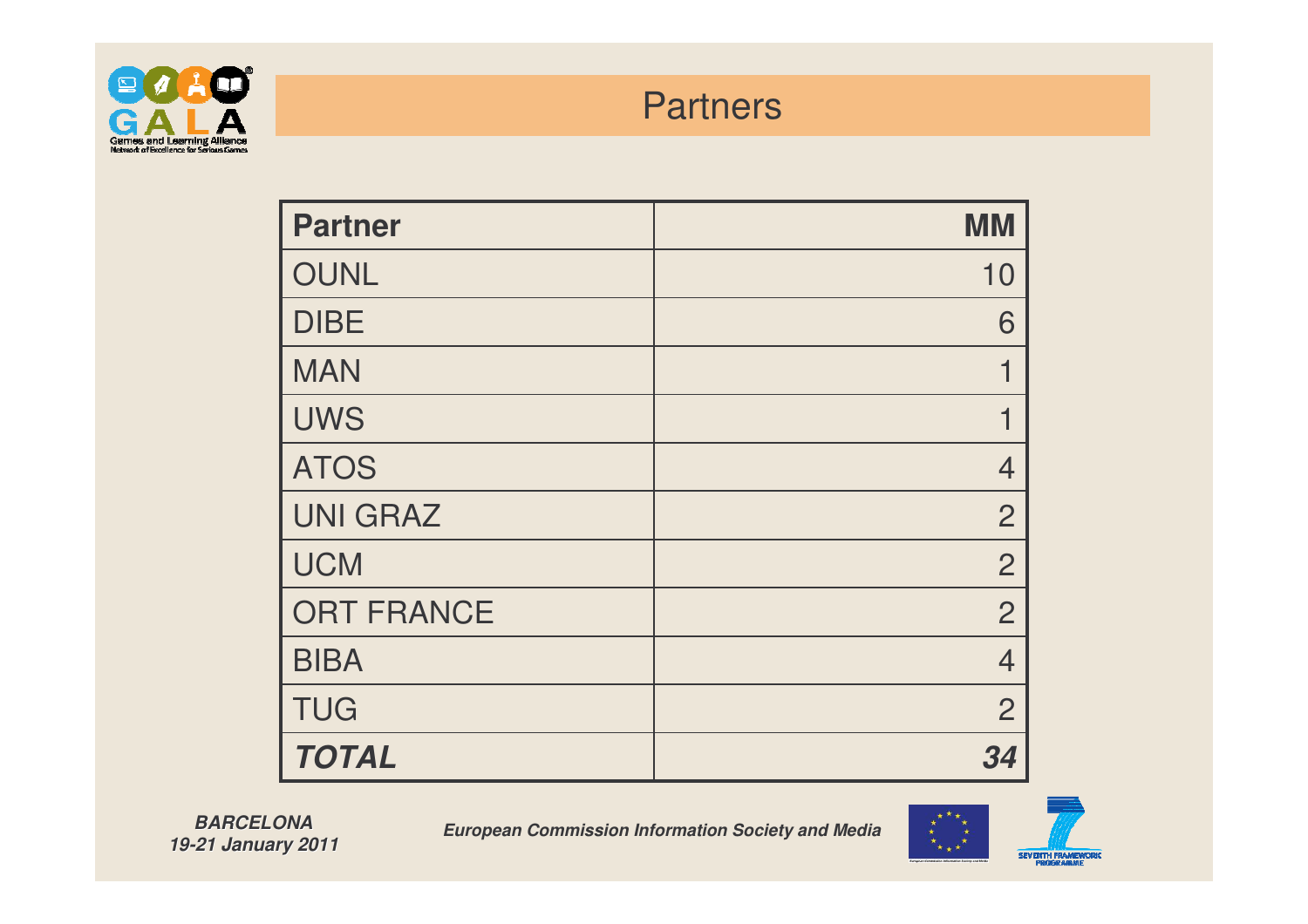

#### **Partners**

| <b>Partner</b>    | <b>MM</b>      |
|-------------------|----------------|
| <b>OUNL</b>       | 10             |
| <b>DIBE</b>       | 6              |
| <b>MAN</b>        |                |
| <b>UWS</b>        |                |
| <b>ATOS</b>       | 4              |
| <b>UNI GRAZ</b>   | $\overline{2}$ |
| <b>UCM</b>        | $\overline{2}$ |
| <b>ORT FRANCE</b> | $\overline{2}$ |
| <b>BIBA</b>       | 4              |
| <b>TUG</b>        | $\overline{2}$ |
| <b>TOTAL</b>      | 34             |

*BARCELONA19-21 January 2011*